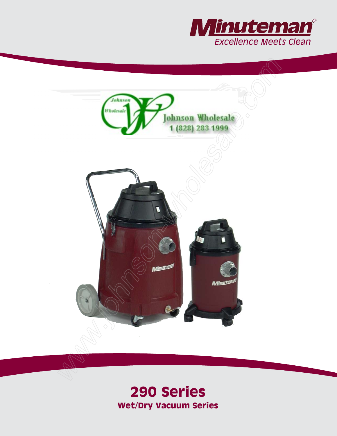